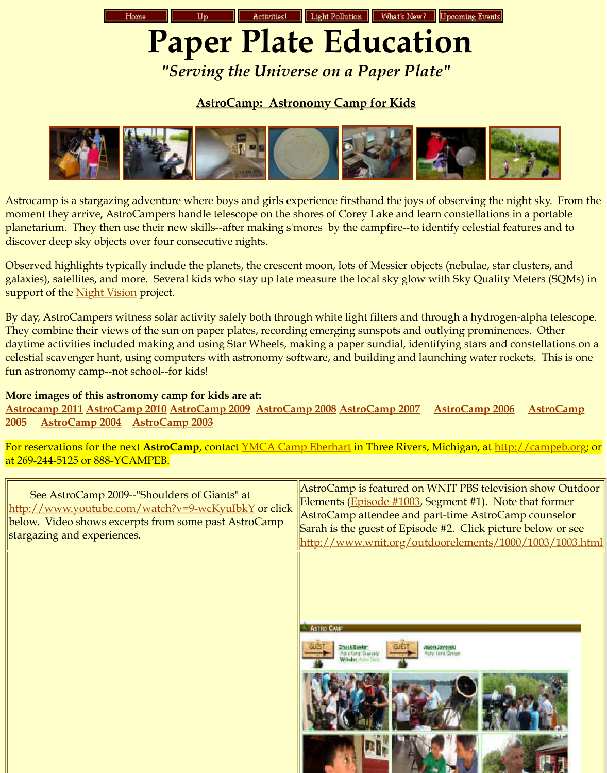discover deep sky o[bjects over fou](http://analyzer.depaul.edu/paperplate/)[r consecutive](http://analyzer.depaul.edu/paperplate/Site%20Map.htm) [nights.](http://analyzer.depaul.edu/paperplate/activities.htm) 

Observed highlights typically include the planets, the crescent moon, lots of Messier of galaxies), satellites, and more. Several kids who stay up late measure the local sky glow support of the **Night Vision** project.

By day, AstroCampers witness solar activity safely both through white light filters and They combine their views of the sun on paper plates, recording emerging sunspots an daytime activities included making and using Star Wheels, making a paper sundial, identifying stars and consta celestial scavenger hunt, using computers with astronomy software, and building and fun astro[nomy camp--n](http://analyzer.depaul.edu/paperplate/astrocamp08915.JPG)[ot school--for ki](http://analyzer.depaul.edu/paperplate/gallery/DSC08854.JPG)ds!

## **More images of this astronomy camp for kids are at:**

**Astrocamp 2011 AstroCamp 2010 Astr[oCamp 2009 As](http://analyzer.depaul.edu/paperplate/gallery/DSC01434.JPG)[troCamp 2008](http://analyzer.depaul.edu/paperplate/gallery/DSC01584.JPG) [AstroCamp 200](http://analyzer.depaul.edu/paperplate/gallery/astrocamp03335.jpg)[7 AstroCamp](http://analyzer.depaul.edu/paperplate/gallery/DSC08913.JPG) [2006 AstroC](http://analyzer.depaul.edu/paperplate/gallery/astrocamp03376.jpg)amp 2005 AstroCamp 2004 AstroCamp 2003**

For reservations for the next AstroCamp, contact <u>YMCA Camp Eberhart</u> in Three Rive at 269-244-5125 or 888-YCAMPEB.

| See AstroCamp 2009--"Shoulders of Giants" at<br><u> http://www.youtube.com/watch?v=9-wcKyuIbkY</u> or click<br>below. Video shows excerpts from some past AstroCamp<br>stargazing and experiences. | AstroCamp is featured<br>Elements (Episode #100<br>AstroCamp attendee an<br>Sarah is the guest of Epi<br>http://www.wnit.org/ |
|----------------------------------------------------------------------------------------------------------------------------------------------------------------------------------------------------|-------------------------------------------------------------------------------------------------------------------------------|
|                                                                                                                                                                                                    | ASTRO CAVE<br>Check@ueter<br><b>Matrix Charles</b>                                                                            |